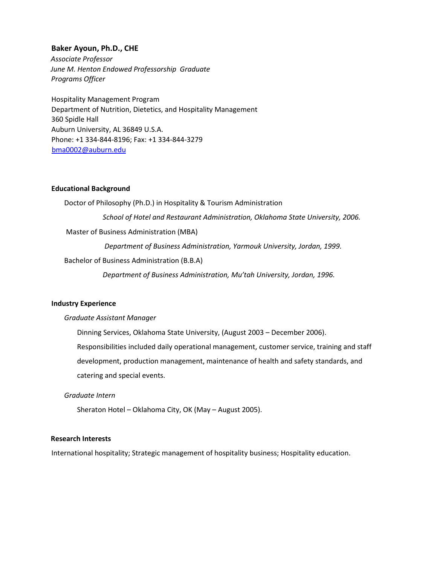### **Baker Ayoun, Ph.D., CHE**

*Associate Professor June M. Henton Endowed Professorship Graduate Programs Officer*

Hospitality Management Program Department of Nutrition, Dietetics, and Hospitality Management 360 Spidle Hall Auburn University, AL 36849 U.S.A. Phone: +1 334-844-8196; Fax: +1 334-844-3279 bma0002@auburn.edu

#### **Educational Background**

Doctor of Philosophy (Ph.D.) in Hospitality & Tourism Administration *School of Hotel and Restaurant Administration, Oklahoma State University, 2006.* Master of Business Administration (MBA) *Department of Business Administration, Yarmouk University, Jordan, 1999.* Bachelor of Business Administration (B.B.A) *Department of Business Administration, Mu'tah University, Jordan, 1996.*

# **Industry Experience**

#### *Graduate Assistant Manager*

Dinning Services, Oklahoma State University, (August 2003 – December 2006). Responsibilities included daily operational management, customer service, training and staff development, production management, maintenance of health and safety standards, and catering and special events.

### *Graduate Intern*

Sheraton Hotel – Oklahoma City, OK (May – August 2005).

## **Research Interests**

International hospitality; Strategic management of hospitality business; Hospitality education.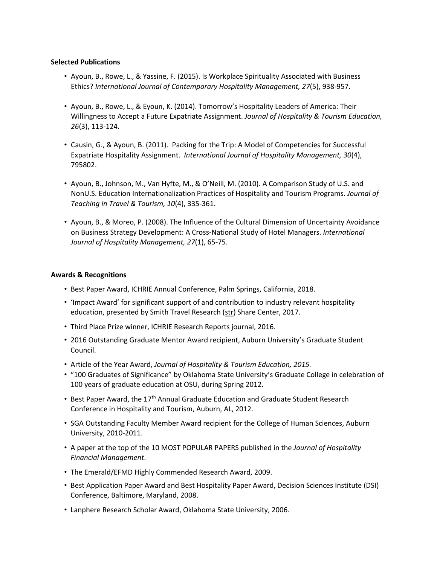# **Selected Publications**

- Ayoun, B., Rowe, L., & Yassine, F. (2015). Is Workplace Spirituality Associated with Business Ethics? *International Journal of Contemporary Hospitality Management, 27*(5), 938-957.
- Ayoun, B., Rowe, L., & Eyoun, K. (2014). Tomorrow's Hospitality Leaders of America: Their Willingness to Accept a Future Expatriate Assignment. *Journal of Hospitality & Tourism Education, 26*(3), 113-124.
- Causin, G., & Ayoun, B. (2011). Packing for the Trip: A Model of Competencies for Successful Expatriate Hospitality Assignment. *International Journal of Hospitality Management, 30*(4), 795802.
- Ayoun, B., Johnson, M., Van Hyfte, M., & O'Neill, M. (2010). A Comparison Study of U.S. and NonU.S. Education Internationalization Practices of Hospitality and Tourism Programs. *Journal of Teaching in Travel & Tourism, 10*(4), 335-361.
- Ayoun, B., & Moreo, P. (2008). The Influence of the Cultural Dimension of Uncertainty Avoidance on Business Strategy Development: A Cross-National Study of Hotel Managers. *International Journal of Hospitality Management, 27*(1), 65-75.

# **Awards & Recognitions**

- Best Paper Award, ICHRIE Annual Conference, Palm Springs, California, 2018.
- 'Impact Award' for significant support of and contribution to industry relevant hospitality education, presented by Smith Travel Research (str) Share Center, 2017.
- Third Place Prize winner, ICHRIE Research Reports journal, 2016.
- 2016 Outstanding Graduate Mentor Award recipient, Auburn University's Graduate Student Council.
- Article of the Year Award, *Journal of Hospitality & Tourism Education, 2015.*
- "100 Graduates of Significance" by Oklahoma State University's Graduate College in celebration of 100 years of graduate education at OSU, during Spring 2012.
- Best Paper Award, the 17<sup>th</sup> Annual Graduate Education and Graduate Student Research Conference in Hospitality and Tourism, Auburn, AL, 2012.
- SGA Outstanding Faculty Member Award recipient for the College of Human Sciences, Auburn University, 2010-2011.
- A paper at the top of the 10 MOST POPULAR PAPERS published in the *Journal of Hospitality Financial Management*.
- The Emerald/EFMD Highly Commended Research Award, 2009.
- Best Application Paper Award and Best Hospitality Paper Award, Decision Sciences Institute (DSI) Conference, Baltimore, Maryland, 2008.
- Lanphere Research Scholar Award, Oklahoma State University, 2006.